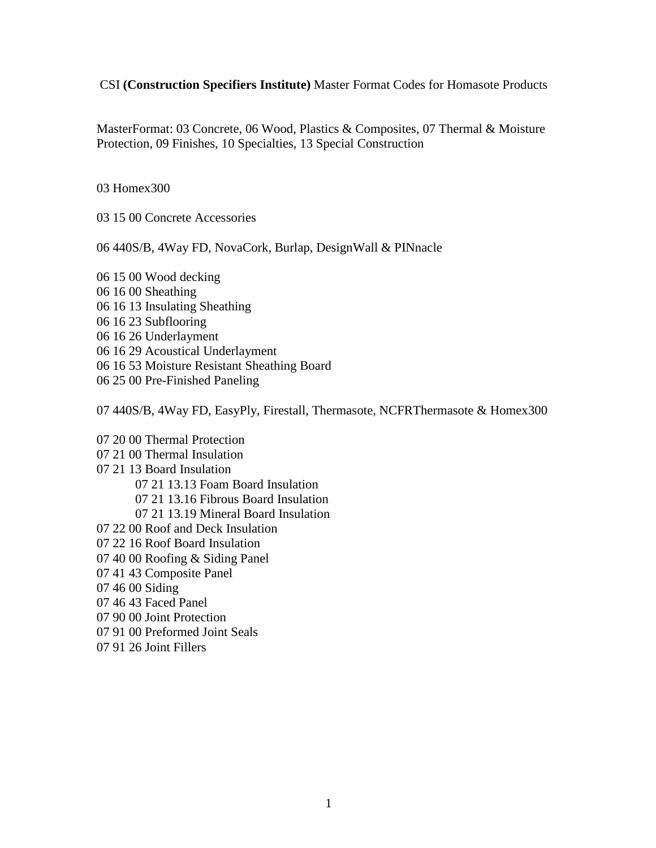## CSI **(Construction Specifiers Institute)** Master Format Codes for Homasote Products

MasterFormat: 03 Concrete, 06 Wood, Plastics & Composites, 07 Thermal & Moisture Protection, 09 Finishes, 10 Specialties, 13 Special Construction

03 Homex300

03 15 00 Concrete Accessories

06 440S/B, 4Way FD, NovaCork, Burlap, DesignWall & PINnacle

06 15 00 Wood decking

- 06 16 00 Sheathing
- 06 16 13 Insulating Sheathing
- 06 16 23 Subflooring
- 06 16 26 Underlayment
- 06 16 29 Acoustical Underlayment
- 06 16 53 Moisture Resistant Sheathing Board
- 06 25 00 Pre-Finished Paneling

07 440S/B, 4Way FD, EasyPly, Firestall, Thermasote, NCFRThermasote & Homex300

- 07 20 00 Thermal Protection
- 07 21 00 Thermal Insulation
- 07 21 13 Board Insulation
	- 07 21 13.13 Foam Board Insulation
	- 07 21 13.16 Fibrous Board Insulation
	- 07 21 13.19 Mineral Board Insulation
- 07 22 00 Roof and Deck Insulation
- 07 22 16 Roof Board Insulation
- 07 40 00 Roofing & Siding Panel
- 07 41 43 Composite Panel
- 07 46 00 Siding
- 07 46 43 Faced Panel
- 07 90 00 Joint Protection
- 07 91 00 Preformed Joint Seals
- 07 91 26 Joint Fillers